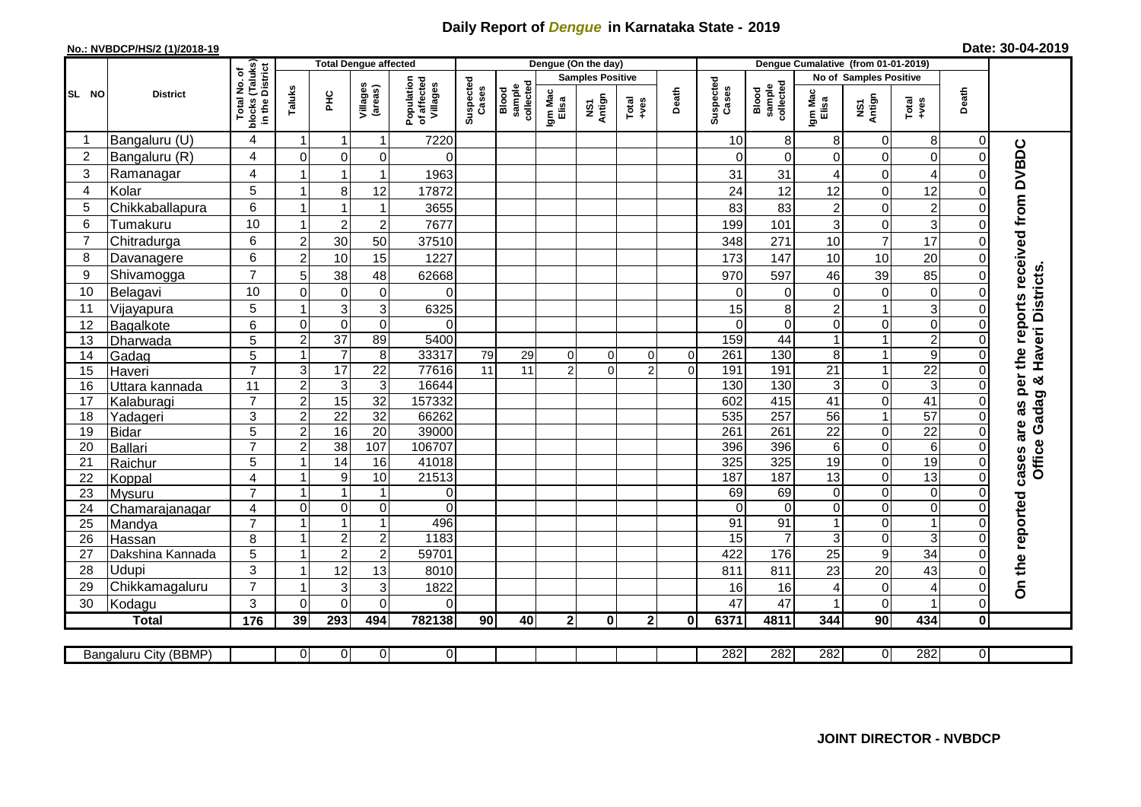## **Daily Report of** *Dengue* **in Karnataka State - 2019**

## **No.: NVBDCP/HS/2 (1)/2018-19 Date: 30-04-2019**

|                |                       |                               |                         |                 | <b>Total Dengue affected</b> |                                       |                    |                              |                         | Dengue (On the day) |                |              |                    |                               |                  |                  |                           |                |                                                     |
|----------------|-----------------------|-------------------------------|-------------------------|-----------------|------------------------------|---------------------------------------|--------------------|------------------------------|-------------------------|---------------------|----------------|--------------|--------------------|-------------------------------|------------------|------------------|---------------------------|----------------|-----------------------------------------------------|
|                |                       | (Taluks)<br>District<br>৳     |                         |                 |                              |                                       |                    |                              | <b>Samples Positive</b> |                     |                |              |                    | <b>No of Samples Positive</b> |                  |                  |                           |                |                                                     |
| SL NO          | <b>District</b>       | Total No.<br>blocks<br>in the | Taluks                  | 오<br>도          | Villages<br>(areas)          | Population<br>of affected<br>Villages | Suspected<br>Cases | sample<br>collected<br>Blood | Igm Mac<br>Elisa        | NS1<br>Antign       | Total<br>+ves  | Death        | Suspected<br>Cases | collected<br>sample<br>Blood  | Igm Mac<br>Elisa | NS1<br>Antign    | Total<br>+ves             | Death          |                                                     |
| -1             | Bangaluru (U)         | 4                             | $\overline{1}$          | -1              | 1                            | 7220                                  |                    |                              |                         |                     |                |              | 10                 | 8                             | 8                | $\mathbf 0$      | 8                         | 0              |                                                     |
| $\overline{c}$ | Bangaluru (R)         | 4                             | $\Omega$                | $\mathbf 0$     | 0                            | $\Omega$                              |                    |                              |                         |                     |                |              | $\Omega$           | $\Omega$                      | $\Omega$         | $\mathbf 0$      | $\mathbf 0$               | $\Omega$       |                                                     |
| 3              | Ramanagar             | 4                             |                         | $\mathbf 1$     | $\mathbf 1$                  | 1963                                  |                    |                              |                         |                     |                |              | 31                 | 31                            | 4                | 0                | 4                         | 0              |                                                     |
| 4              | Kolar                 | 5                             | $\overline{1}$          | 8               | 12                           | 17872                                 |                    |                              |                         |                     |                |              | 24                 | 12                            | 12               | $\mathbf 0$      | 12                        | $\Omega$       |                                                     |
| 5              | Chikkaballapura       | 6                             | $\overline{1}$          | $\overline{1}$  | 1                            | 3655                                  |                    |                              |                         |                     |                |              | 83                 | 83                            | $\overline{a}$   | $\mathsf 0$      | $\boldsymbol{2}$          | 0              |                                                     |
| 6              | Tumakuru              | 10                            | 1                       | $\overline{c}$  | $\overline{c}$               | 7677                                  |                    |                              |                         |                     |                |              | 199                | 101                           | 3                | $\mathsf 0$      | $\ensuremath{\mathsf{3}}$ | 0              |                                                     |
| $\overline{7}$ | Chitradurga           | 6                             | $\overline{c}$          | 30              | 50                           | 37510                                 |                    |                              |                         |                     |                |              | 348                | 271                           | 10               | $\overline{7}$   | 17                        | $\Omega$       |                                                     |
| 8              | Davanagere            | 6                             | $\overline{2}$          | 10              | 15                           | 1227                                  |                    |                              |                         |                     |                |              | 173                | 147                           | 10               | 10               | 20                        | $\Omega$       |                                                     |
| 9              | Shivamogga            | $\overline{7}$                | 5                       | 38              | 48                           | 62668                                 |                    |                              |                         |                     |                |              | 970                | 597                           | 46               | 39               | 85                        | 0              | the reports received from DVBDC<br>Haveri Districts |
| 10             | Belagavi              | 10                            | $\mathbf 0$             | $\overline{0}$  | $\mathbf 0$                  | $\mathbf{0}$                          |                    |                              |                         |                     |                |              | $\Omega$           | $\Omega$                      | $\mathbf 0$      | $\mathbf 0$      | $\mathbf 0$               | 0              |                                                     |
| 11             | Vijayapura            | 5                             | $\overline{1}$          | 3               | 3                            | 6325                                  |                    |                              |                         |                     |                |              | 15                 | 8                             | $\overline{c}$   | $\overline{1}$   | $\mathbf{3}$              | $\Omega$       |                                                     |
| 12             | Bagalkote             | 6                             | $\mathbf 0$             | $\mathbf 0$     | $\mathbf 0$                  | $\Omega$                              |                    |                              |                         |                     |                |              | $\Omega$           | $\Omega$                      | $\overline{0}$   | $\mathbf 0$      | $\mathbf 0$               | $\Omega$       |                                                     |
| 13             | Dharwada              | 5                             | $\overline{c}$          | $\overline{37}$ | 89                           | 5400                                  |                    |                              |                         |                     |                |              | 159                | 44                            | $\mathbf 1$      | $\mathbf{1}$     | $\overline{2}$            | $\Omega$       |                                                     |
| 14             | Gadag                 | 5                             | $\overline{\mathbf{1}}$ | $\overline{7}$  | 8                            | 33317                                 | 79                 | 29                           | $\overline{0}$          | $\mathbf 0$         | $\mathbf 0$    | $\mathbf 0$  | 261                | 130                           | 8                | $\mathbf{1}$     | $\overline{9}$            | $\Omega$       |                                                     |
| 15             | Haveri                | $\overline{7}$                | 3                       | 17              | $\overline{22}$              | 77616                                 | 11                 | 11                           | $\overline{2}$          | $\Omega$            | $\overline{2}$ | $\Omega$     | 191                | 191                           | 21               | $\mathbf{1}$     | $\overline{22}$           | $\Omega$       |                                                     |
| 16             | Uttara kannada        | 11                            | $\overline{c}$          | 3               | 3                            | 16644                                 |                    |                              |                         |                     |                |              | 130                | 130                           | 3                | $\mathsf 0$      | $\overline{3}$            | 0              | per<br>ಳ                                            |
| 17             | Kalaburagi            | $\overline{7}$                | $\overline{2}$          | 15              | $\overline{32}$              | 157332                                |                    |                              |                         |                     |                |              | 602                | 415                           | 41               | $\mathbf 0$      | 41                        | 0              | Gadag<br>3g                                         |
| 18             | Yadageri              | $\overline{3}$                | $\overline{2}$          | $\overline{22}$ | 32                           | 66262                                 |                    |                              |                         |                     |                |              | 535                | 257                           | $\overline{56}$  | $\overline{1}$   | 57                        |                |                                                     |
| 19             | <b>Bidar</b>          | 5                             | $\overline{2}$          | 16              | $\overline{20}$              | 39000                                 |                    |                              |                         |                     |                |              | 261                | 261                           | $\overline{22}$  | $\mathsf 0$      | $\overline{22}$           | 0              | are                                                 |
| 20             | Ballari               | $\overline{7}$                | $\overline{c}$          | 38              | 107                          | 106707                                |                    |                              |                         |                     |                |              | 396                | 396                           | 6                | $\overline{0}$   | $\,6$                     | 0              |                                                     |
| 21             | Raichur               | 5                             |                         | 14              | 16                           | 41018                                 |                    |                              |                         |                     |                |              | 325                | 325                           | 19               | $\mathsf 0$      | $\overline{19}$           | 0              | <b>Office</b><br>cases                              |
| 22             | Koppal                | $\overline{\mathbf{4}}$       | $\overline{ }$          | 9               | 10                           | 21513                                 |                    |                              |                         |                     |                |              | 187                | 187                           | $\overline{13}$  | $\overline{0}$   | 13                        | $\Omega$       |                                                     |
| 23             | Mysuru                | $\overline{7}$                | $\overline{\mathbf{1}}$ | $\overline{1}$  | $\overline{1}$               | $\mathbf 0$                           |                    |                              |                         |                     |                |              | 69                 | 69                            | $\mathbf 0$      | $\overline{0}$   | $\overline{0}$            | $\Omega$       |                                                     |
| 24             | Chamarajanagar        | 4                             | $\Omega$                | $\mathbf 0$     | $\mathbf 0$                  | $\mathbf 0$                           |                    |                              |                         |                     |                |              | $\Omega$           | $\Omega$                      | $\mathbf 0$      | $\mathbf 0$      | $\overline{0}$            | $\Omega$       |                                                     |
| 25             | Mandya                | $\overline{7}$                | -1                      | $\overline{1}$  | 1                            | 496                                   |                    |                              |                         |                     |                |              | 91                 | $\overline{91}$               | 1                | $\mathsf 0$      | $\mathbf{1}$              | 0              |                                                     |
| 26             | Hassan                | 8                             | $\overline{1}$          | $\sqrt{2}$      | $\overline{c}$               | 1183                                  |                    |                              |                         |                     |                |              | 15                 | $\overline{7}$                | 3                | $\mathbf 0$      | $\overline{3}$            | 0              |                                                     |
| 27             | Dakshina Kannada      | 5                             | $\overline{\mathbf{1}}$ | $\overline{2}$  | $\overline{2}$               | 59701                                 |                    |                              |                         |                     |                |              | 422                | 176                           | 25               | $\boldsymbol{9}$ | $\overline{34}$           | $\Omega$       |                                                     |
| 28             | Udupi                 | 3                             | $\overline{\mathbf{1}}$ | 12              | 13                           | 8010                                  |                    |                              |                         |                     |                |              | 811                | 811                           | 23               | 20               | 43                        | U              | On the reported                                     |
| 29             | Chikkamagaluru        | $\overline{7}$                |                         | 3               | 3                            | 1822                                  |                    |                              |                         |                     |                |              | 16                 | 16                            | 4                | $\mathsf 0$      | 4                         | 0              |                                                     |
| 30             | Kodagu                | 3                             | $\Omega$                | $\mathbf 0$     | $\Omega$                     | $\Omega$                              |                    |                              |                         |                     |                |              | 47                 | 47                            | 1                | $\mathbf 0$      | 1                         | 0              |                                                     |
|                | <b>Total</b>          | 176                           | 39                      | 293             | 494                          | 782138                                | 90                 | 40                           | $\mathbf{2}$            | 0                   | $\mathbf{2}$   | $\mathbf{0}$ | 6371               | 4811                          | 344              | 90               | 434                       | 0              |                                                     |
|                | Bangaluru City (BBMP) |                               | $\overline{0}$          | $\overline{0}$  | $\overline{0}$               | $\overline{0}$                        |                    |                              |                         |                     |                |              | 282                | 282                           | 282              | $\mathbf 0$      | 282                       | $\overline{0}$ |                                                     |